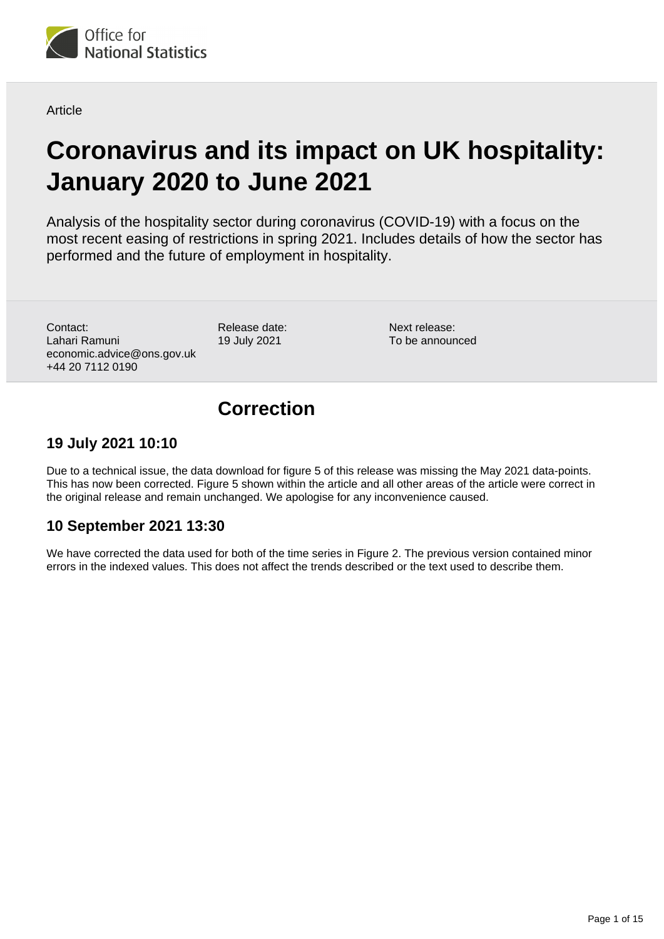

**Article** 

# **Coronavirus and its impact on UK hospitality: January 2020 to June 2021**

Analysis of the hospitality sector during coronavirus (COVID-19) with a focus on the most recent easing of restrictions in spring 2021. Includes details of how the sector has performed and the future of employment in hospitality.

Contact: Lahari Ramuni economic.advice@ons.gov.uk +44 20 7112 0190

Release date: 19 July 2021

Next release: To be announced

## **Correction**

## **19 July 2021 10:10**

Due to a technical issue, the data download for figure 5 of this release was missing the May 2021 data-points. This has now been corrected. Figure 5 shown within the article and all other areas of the article were correct in the original release and remain unchanged. We apologise for any inconvenience caused.

## **10 September 2021 13:30**

We have corrected the data used for both of the time series in Figure 2. The previous version contained minor errors in the indexed values. This does not affect the trends described or the text used to describe them.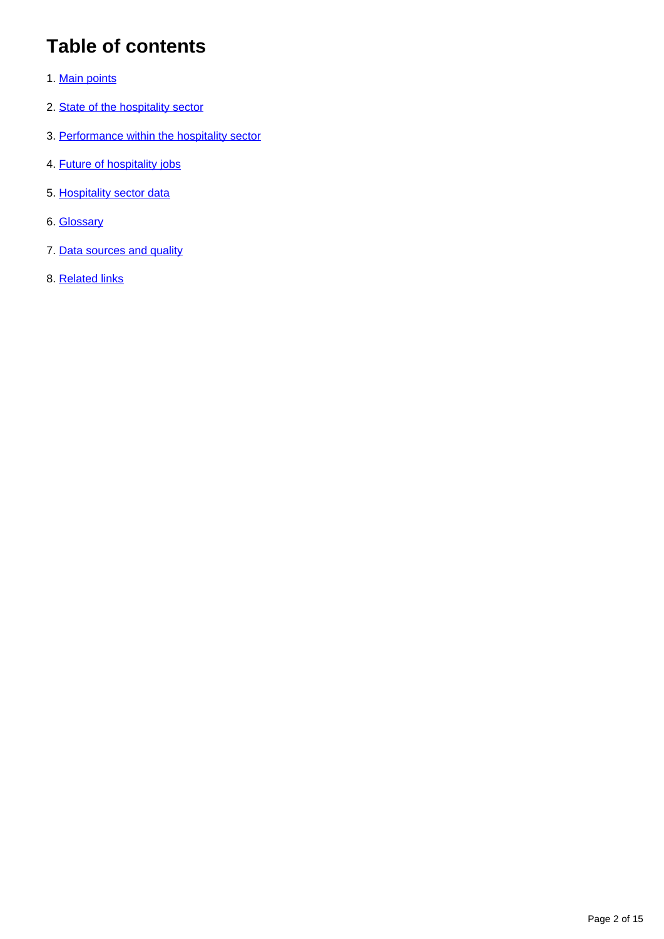## **Table of contents**

- 1. [Main points](#page-2-0)
- 2. [State of the hospitality sector](#page-2-1)
- 3. [Performance within the hospitality sector](#page-5-0)
- 4. [Future of hospitality jobs](#page-6-0)
- 5. [Hospitality sector data](#page-10-0)
- 6. [Glossary](#page-10-1)
- 7. [Data sources and quality](#page-11-0)
- 8. [Related links](#page-14-0)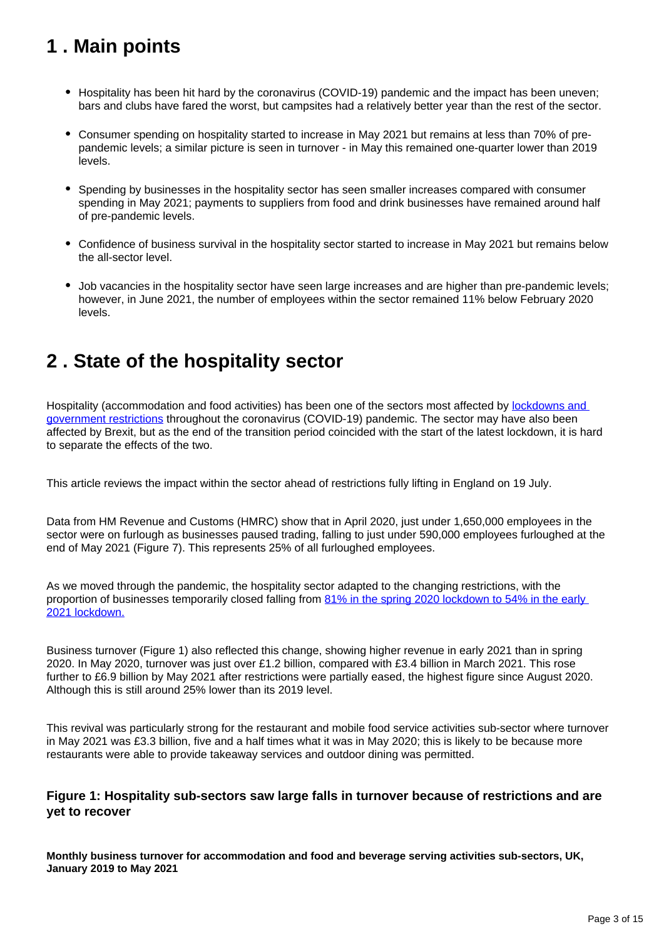## <span id="page-2-0"></span>**1 . Main points**

- Hospitality has been hit hard by the coronavirus (COVID-19) pandemic and the impact has been uneven; bars and clubs have fared the worst, but campsites had a relatively better year than the rest of the sector.
- Consumer spending on hospitality started to increase in May 2021 but remains at less than 70% of prepandemic levels; a similar picture is seen in turnover - in May this remained one-quarter lower than 2019 levels.
- Spending by businesses in the hospitality sector has seen smaller increases compared with consumer spending in May 2021; payments to suppliers from food and drink businesses have remained around half of pre-pandemic levels.
- Confidence of business survival in the hospitality sector started to increase in May 2021 but remains below the all-sector level.
- Job vacancies in the hospitality sector have seen large increases and are higher than pre-pandemic levels; however, in June 2021, the number of employees within the sector remained 11% below February 2020 levels.

## <span id="page-2-1"></span>**2 . State of the hospitality sector**

Hospitality (accommodation and food activities) has been one of the sectors most affected by lockdowns and [government restrictions](https://www.ons.gov.uk/economy/economicoutputandproductivity/output/articles/coronavirushowpeopleandbusinesseshaveadaptedtolockdowns/2021-03-19) throughout the coronavirus (COVID-19) pandemic. The sector may have also been affected by Brexit, but as the end of the transition period coincided with the start of the latest lockdown, it is hard to separate the effects of the two.

This article reviews the impact within the sector ahead of restrictions fully lifting in England on 19 July.

Data from HM Revenue and Customs (HMRC) show that in April 2020, just under 1,650,000 employees in the sector were on furlough as businesses paused trading, falling to just under 590,000 employees furloughed at the end of May 2021 (Figure 7). This represents 25% of all furloughed employees.

As we moved through the pandemic, the hospitality sector adapted to the changing restrictions, with the proportion of businesses temporarily closed falling from 81% in the spring 2020 lockdown to 54% in the early [2021 lockdown.](https://www.ons.gov.uk/economy/economicoutputandproductivity/output/articles/coronavirushowpeopleandbusinesseshaveadaptedtolockdowns/2021-03-19)

Business turnover (Figure 1) also reflected this change, showing higher revenue in early 2021 than in spring 2020. In May 2020, turnover was just over £1.2 billion, compared with £3.4 billion in March 2021. This rose further to £6.9 billion by May 2021 after restrictions were partially eased, the highest figure since August 2020. Although this is still around 25% lower than its 2019 level.

This revival was particularly strong for the restaurant and mobile food service activities sub-sector where turnover in May 2021 was £3.3 billion, five and a half times what it was in May 2020; this is likely to be because more restaurants were able to provide takeaway services and outdoor dining was permitted.

## **Figure 1: Hospitality sub-sectors saw large falls in turnover because of restrictions and are yet to recover**

**Monthly business turnover for accommodation and food and beverage serving activities sub-sectors, UK, January 2019 to May 2021**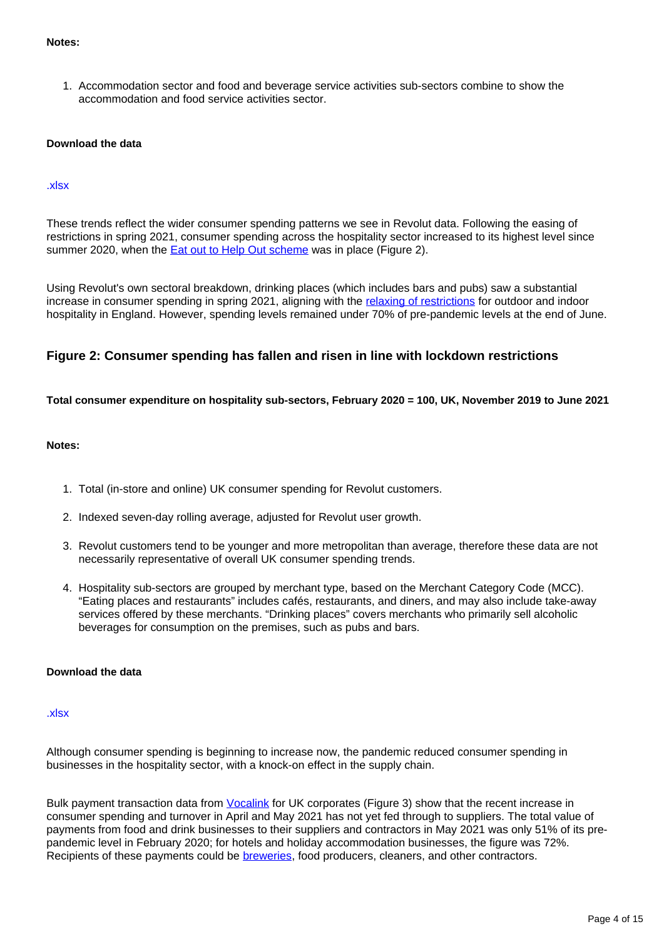#### **Notes:**

1. Accommodation sector and food and beverage service activities sub-sectors combine to show the accommodation and food service activities sector.

#### **Download the data**

#### [.xlsx](https://www.ons.gov.uk/visualisations/dvc1462/businessturnover/datadownload.xlsx)

These trends reflect the wider consumer spending patterns we see in Revolut data. Following the easing of restrictions in spring 2021, consumer spending across the hospitality sector increased to its highest level since summer 2020, when the **Eat out to Help Out scheme** was in place (Figure 2).

Using Revolut's own sectoral breakdown, drinking places (which includes bars and pubs) saw a substantial increase in consumer spending in spring 2021, aligning with the [relaxing of restrictions](https://www.gov.uk/government/publications/covid-19-response-spring-2021/covid-19-response-spring-2021-summary) for outdoor and indoor hospitality in England. However, spending levels remained under 70% of pre-pandemic levels at the end of June.

### **Figure 2: Consumer spending has fallen and risen in line with lockdown restrictions**

**Total consumer expenditure on hospitality sub-sectors, February 2020 = 100, UK, November 2019 to June 2021**

#### **Notes:**

- 1. Total (in-store and online) UK consumer spending for Revolut customers.
- 2. Indexed seven-day rolling average, adjusted for Revolut user growth.
- 3. Revolut customers tend to be younger and more metropolitan than average, therefore these data are not necessarily representative of overall UK consumer spending trends.
- 4. Hospitality sub-sectors are grouped by merchant type, based on the Merchant Category Code (MCC). "Eating places and restaurants" includes cafés, restaurants, and diners, and may also include take-away services offered by these merchants. "Drinking places" covers merchants who primarily sell alcoholic beverages for consumption on the premises, such as pubs and bars.

#### **Download the data**

#### [.xlsx](https://www.ons.gov.uk/visualisations/dvc1462/revolut/datadownload.xlsx)

Although consumer spending is beginning to increase now, the pandemic reduced consumer spending in businesses in the hospitality sector, with a knock-on effect in the supply chain.

Bulk payment transaction data from *Vocalink* for UK corporates (Figure 3) show that the recent increase in consumer spending and turnover in April and May 2021 has not yet fed through to suppliers. The total value of payments from food and drink businesses to their suppliers and contractors in May 2021 was only 51% of its prepandemic level in February 2020; for hotels and holiday accommodation businesses, the figure was 72%. Recipients of these payments could be **breweries**, food producers, cleaners, and other contractors.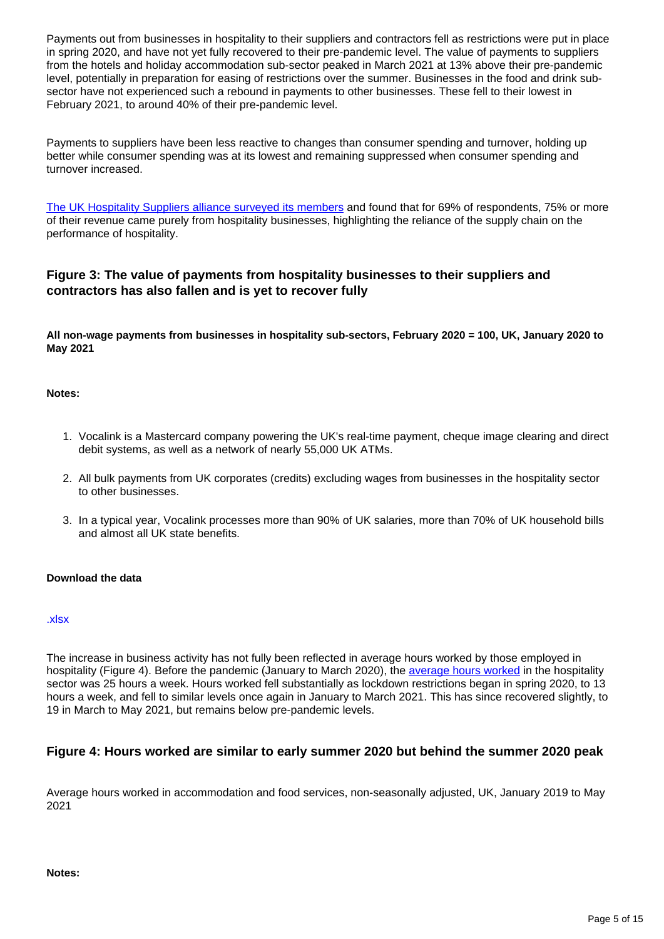Payments out from businesses in hospitality to their suppliers and contractors fell as restrictions were put in place in spring 2020, and have not yet fully recovered to their pre-pandemic level. The value of payments to suppliers from the hotels and holiday accommodation sub-sector peaked in March 2021 at 13% above their pre-pandemic level, potentially in preparation for easing of restrictions over the summer. Businesses in the food and drink subsector have not experienced such a rebound in payments to other businesses. These fell to their lowest in February 2021, to around 40% of their pre-pandemic level.

Payments to suppliers have been less reactive to changes than consumer spending and turnover, holding up better while consumer spending was at its lowest and remaining suppressed when consumer spending and turnover increased.

[The UK Hospitality Suppliers alliance surveyed its members](https://www.ukhospitality.org.uk/news/515353/UKHospitality-survey-reveals-lockdown-impact-on-suppliers-and-highlights-need-for-support.htm) and found that for 69% of respondents, 75% or more of their revenue came purely from hospitality businesses, highlighting the reliance of the supply chain on the performance of hospitality.

## **Figure 3: The value of payments from hospitality businesses to their suppliers and contractors has also fallen and is yet to recover fully**

**All non-wage payments from businesses in hospitality sub-sectors, February 2020 = 100, UK, January 2020 to May 2021**

#### **Notes:**

- 1. Vocalink is a Mastercard company powering the UK's real-time payment, cheque image clearing and direct debit systems, as well as a network of nearly 55,000 UK ATMs.
- 2. All bulk payments from UK corporates (credits) excluding wages from businesses in the hospitality sector to other businesses.
- 3. In a typical year, Vocalink processes more than 90% of UK salaries, more than 70% of UK household bills and almost all UK state benefits.

#### **Download the data**

#### [.xlsx](https://www.ons.gov.uk/visualisations/dvc1462/vocalink/datadownload.xlsx)

The increase in business activity has not fully been reflected in average hours worked by those employed in hospitality (Figure 4). Before the pandemic (January to March 2020), the [average hours worked](https://www.ons.gov.uk/employmentandlabourmarket/peopleinwork/earningsandworkinghours/datasets/averagehoursworkedbyindustryhour03) in the hospitality sector was 25 hours a week. Hours worked fell substantially as lockdown restrictions began in spring 2020, to 13 hours a week, and fell to similar levels once again in January to March 2021. This has since recovered slightly, to 19 in March to May 2021, but remains below pre-pandemic levels.

## **Figure 4: Hours worked are similar to early summer 2020 but behind the summer 2020 peak**

Average hours worked in accommodation and food services, non-seasonally adjusted, UK, January 2019 to May 2021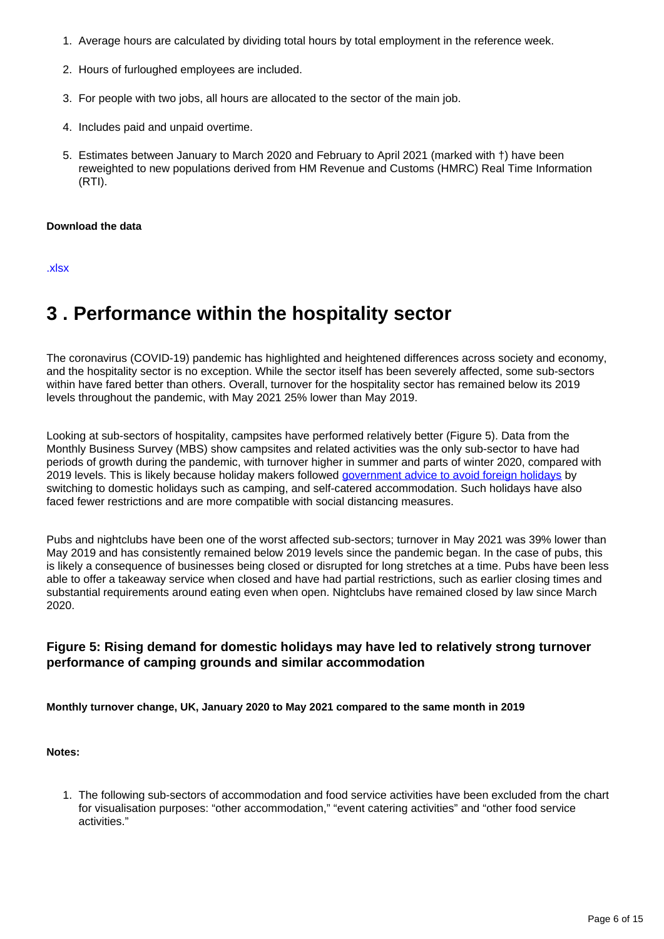- 1. Average hours are calculated by dividing total hours by total employment in the reference week.
- 2. Hours of furloughed employees are included.
- 3. For people with two jobs, all hours are allocated to the sector of the main job.
- 4. Includes paid and unpaid overtime.
- 5. Estimates between January to March 2020 and February to April 2021 (marked with †) have been reweighted to new populations derived from HM Revenue and Customs (HMRC) Real Time Information (RTI).

#### **Download the data**

[.xlsx](https://www.ons.gov.uk/visualisations/dvc1462/hoursworked/datadownload.xlsx)

## <span id="page-5-0"></span>**3 . Performance within the hospitality sector**

The coronavirus (COVID-19) pandemic has highlighted and heightened differences across society and economy, and the hospitality sector is no exception. While the sector itself has been severely affected, some sub-sectors within have fared better than others. Overall, turnover for the hospitality sector has remained below its 2019 levels throughout the pandemic, with May 2021 25% lower than May 2019.

Looking at sub-sectors of hospitality, campsites have performed relatively better (Figure 5). Data from the Monthly Business Survey (MBS) show campsites and related activities was the only sub-sector to have had periods of growth during the pandemic, with turnover higher in summer and parts of winter 2020, compared with 2019 levels. This is likely because holiday makers followed [government advice to avoid foreign holidays](https://www.gov.uk/government/news/travel-advice-foreign-secreatary-statement-17-march-2020) by switching to domestic holidays such as camping, and self-catered accommodation. Such holidays have also faced fewer restrictions and are more compatible with social distancing measures.

Pubs and nightclubs have been one of the worst affected sub-sectors; turnover in May 2021 was 39% lower than May 2019 and has consistently remained below 2019 levels since the pandemic began. In the case of pubs, this is likely a consequence of businesses being closed or disrupted for long stretches at a time. Pubs have been less able to offer a takeaway service when closed and have had partial restrictions, such as earlier closing times and substantial requirements around eating even when open. Nightclubs have remained closed by law since March 2020.

### **Figure 5: Rising demand for domestic holidays may have led to relatively strong turnover performance of camping grounds and similar accommodation**

**Monthly turnover change, UK, January 2020 to May 2021 compared to the same month in 2019**

#### **Notes:**

1. The following sub-sectors of accommodation and food service activities have been excluded from the chart for visualisation purposes: "other accommodation," "event catering activities" and "other food service activities."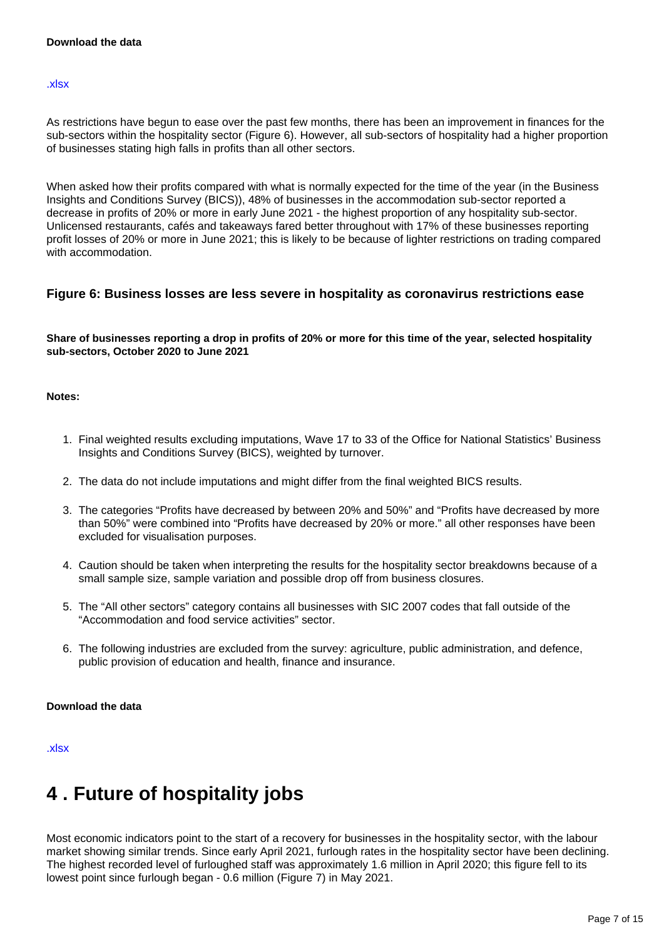#### [.xlsx](https://www.ons.gov.uk/visualisations/dvc1462/domesticholidays/datadownload.xlsx)

As restrictions have begun to ease over the past few months, there has been an improvement in finances for the sub-sectors within the hospitality sector (Figure 6). However, all sub-sectors of hospitality had a higher proportion of businesses stating high falls in profits than all other sectors.

When asked how their profits compared with what is normally expected for the time of the year (in the Business Insights and Conditions Survey (BICS)), 48% of businesses in the accommodation sub-sector reported a decrease in profits of 20% or more in early June 2021 - the highest proportion of any hospitality sub-sector. Unlicensed restaurants, cafés and takeaways fared better throughout with 17% of these businesses reporting profit losses of 20% or more in June 2021; this is likely to be because of lighter restrictions on trading compared with accommodation.

### **Figure 6: Business losses are less severe in hospitality as coronavirus restrictions ease**

#### **Share of businesses reporting a drop in profits of 20% or more for this time of the year, selected hospitality sub-sectors, October 2020 to June 2021**

#### **Notes:**

- 1. Final weighted results excluding imputations, Wave 17 to 33 of the Office for National Statistics' Business Insights and Conditions Survey (BICS), weighted by turnover.
- 2. The data do not include imputations and might differ from the final weighted BICS results.
- 3. The categories "Profits have decreased by between 20% and 50%" and "Profits have decreased by more than 50%" were combined into "Profits have decreased by 20% or more." all other responses have been excluded for visualisation purposes.
- 4. Caution should be taken when interpreting the results for the hospitality sector breakdowns because of a small sample size, sample variation and possible drop off from business closures.
- 5. The "All other sectors" category contains all businesses with SIC 2007 codes that fall outside of the "Accommodation and food service activities" sector.
- 6. The following industries are excluded from the survey: agriculture, public administration, and defence, public provision of education and health, finance and insurance.

#### **Download the data**

[.xlsx](https://www.ons.gov.uk/visualisations/dvc1462/profits/datadownload.xlsx)

## <span id="page-6-0"></span>**4 . Future of hospitality jobs**

Most economic indicators point to the start of a recovery for businesses in the hospitality sector, with the labour market showing similar trends. Since early April 2021, furlough rates in the hospitality sector have been declining. The highest recorded level of furloughed staff was approximately 1.6 million in April 2020; this figure fell to its lowest point since furlough began - 0.6 million (Figure 7) in May 2021.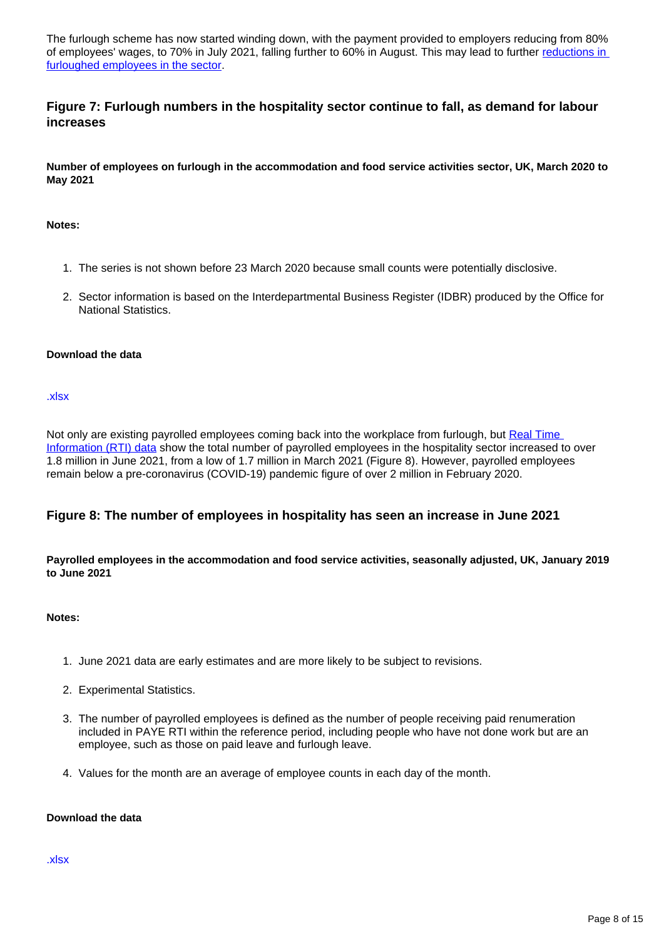The furlough scheme has now started winding down, with the payment provided to employers reducing from 80% of employees' wages, to 70% in July 2021, falling further to 60% in August. This may lead to further reductions in [furloughed employees in the sector.](https://www.bbc.co.uk/news/business-57665735)

## **Figure 7: Furlough numbers in the hospitality sector continue to fall, as demand for labour increases**

**Number of employees on furlough in the accommodation and food service activities sector, UK, March 2020 to May 2021**

#### **Notes:**

- 1. The series is not shown before 23 March 2020 because small counts were potentially disclosive.
- 2. Sector information is based on the Interdepartmental Business Register (IDBR) produced by the Office for National Statistics.

#### **Download the data**

[.xlsx](https://www.ons.gov.uk/visualisations/dvc1462/furloughhmrc/datadownload.xlsx)

Not only are existing payrolled employees coming back into the workplace from furlough, but [Real Time](https://www.ons.gov.uk/employmentandlabourmarket/peopleinwork/earningsandworkinghours/datasets/realtimeinformationstatisticsreferencetableseasonallyadjusted)  [Information \(RTI\) data](https://www.ons.gov.uk/employmentandlabourmarket/peopleinwork/earningsandworkinghours/datasets/realtimeinformationstatisticsreferencetableseasonallyadjusted) show the total number of payrolled employees in the hospitality sector increased to over 1.8 million in June 2021, from a low of 1.7 million in March 2021 (Figure 8). However, payrolled employees remain below a pre-coronavirus (COVID-19) pandemic figure of over 2 million in February 2020.

## **Figure 8: The number of employees in hospitality has seen an increase in June 2021**

#### **Payrolled employees in the accommodation and food service activities, seasonally adjusted, UK, January 2019 to June 2021**

#### **Notes:**

- 1. June 2021 data are early estimates and are more likely to be subject to revisions.
- 2. Experimental Statistics.
- 3. The number of payrolled employees is defined as the number of people receiving paid renumeration included in PAYE RTI within the reference period, including people who have not done work but are an employee, such as those on paid leave and furlough leave.
- 4. Values for the month are an average of employee counts in each day of the month.

## **Download the data**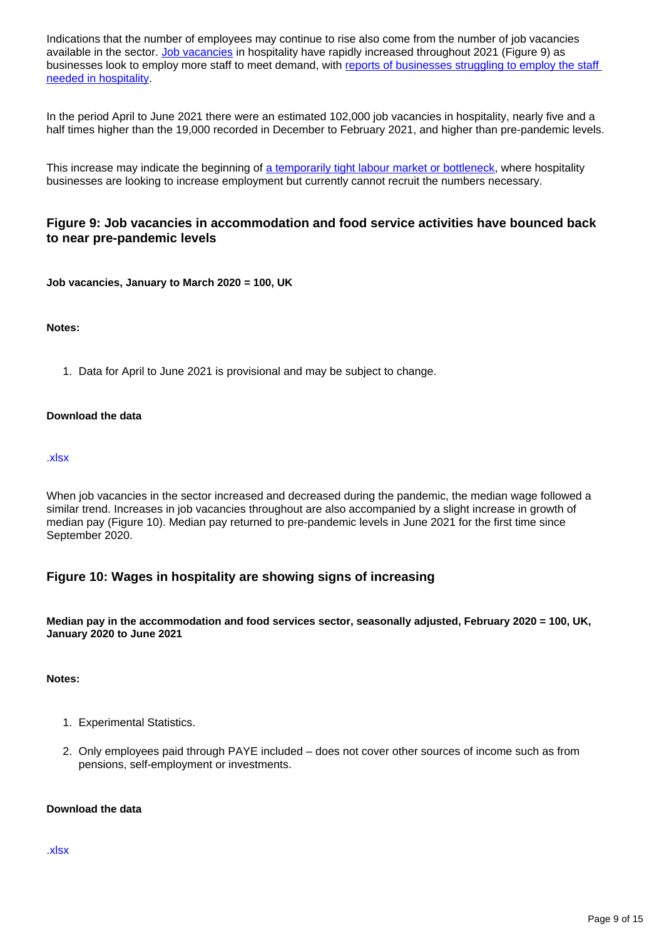Indications that the number of employees may continue to rise also come from the number of job vacancies available in the sector. [Job vacancies](https://www.ons.gov.uk/employmentandlabourmarket/peoplenotinwork/unemployment/datasets/vacanciesbyindustryvacs02) in hospitality have rapidly increased throughout 2021 (Figure 9) as businesses look to employ more staff to meet demand, with reports of businesses struggling to employ the staff [needed in hospitality.](https://www.bbc.co.uk/news/business-57285428)

In the period April to June 2021 there were an estimated 102,000 job vacancies in hospitality, nearly five and a half times higher than the 19,000 recorded in December to February 2021, and higher than pre-pandemic levels.

This increase may indicate the beginning of [a temporarily tight labour market or bottleneck,](https://www.resolutionfoundation.org/publications/understanding-the-labour-market/) where hospitality businesses are looking to increase employment but currently cannot recruit the numbers necessary.

## **Figure 9: Job vacancies in accommodation and food service activities have bounced back to near pre-pandemic levels**

**Job vacancies, January to March 2020 = 100, UK**

#### **Notes:**

1. Data for April to June 2021 is provisional and may be subject to change.

#### **Download the data**

#### [.xlsx](https://www.ons.gov.uk/visualisations/dvc1462/vacancies/datadownload.xlsx)

When job vacancies in the sector increased and decreased during the pandemic, the median wage followed a similar trend. Increases in job vacancies throughout are also accompanied by a slight increase in growth of median pay (Figure 10). Median pay returned to pre-pandemic levels in June 2021 for the first time since September 2020.

## **Figure 10: Wages in hospitality are showing signs of increasing**

**Median pay in the accommodation and food services sector, seasonally adjusted, February 2020 = 100, UK, January 2020 to June 2021**

#### **Notes:**

- 1. Experimental Statistics.
- 2. Only employees paid through PAYE included does not cover other sources of income such as from pensions, self-employment or investments.

#### **Download the data**

#### [.xlsx](https://www.ons.gov.uk/visualisations/dvc1462/wagegrowth/datadownload.xlsx)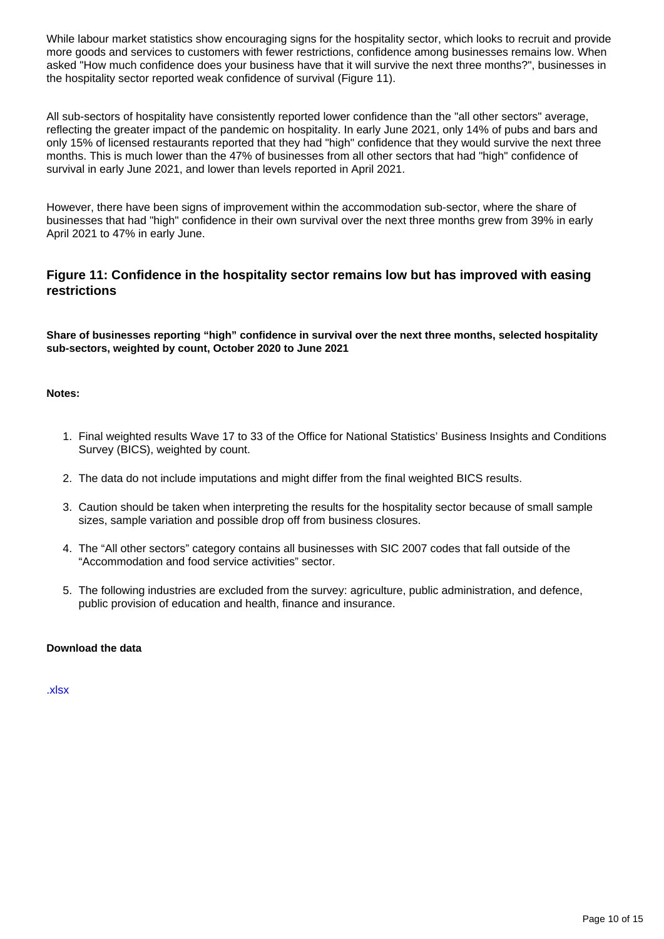While labour market statistics show encouraging signs for the hospitality sector, which looks to recruit and provide more goods and services to customers with fewer restrictions, confidence among businesses remains low. When asked "How much confidence does your business have that it will survive the next three months?", businesses in the hospitality sector reported weak confidence of survival (Figure 11).

All sub-sectors of hospitality have consistently reported lower confidence than the "all other sectors" average, reflecting the greater impact of the pandemic on hospitality. In early June 2021, only 14% of pubs and bars and only 15% of licensed restaurants reported that they had "high" confidence that they would survive the next three months. This is much lower than the 47% of businesses from all other sectors that had "high" confidence of survival in early June 2021, and lower than levels reported in April 2021.

However, there have been signs of improvement within the accommodation sub-sector, where the share of businesses that had "high" confidence in their own survival over the next three months grew from 39% in early April 2021 to 47% in early June.

## **Figure 11: Confidence in the hospitality sector remains low but has improved with easing restrictions**

**Share of businesses reporting "high" confidence in survival over the next three months, selected hospitality sub-sectors, weighted by count, October 2020 to June 2021**

#### **Notes:**

- 1. Final weighted results Wave 17 to 33 of the Office for National Statistics' Business Insights and Conditions Survey (BICS), weighted by count.
- 2. The data do not include imputations and might differ from the final weighted BICS results.
- 3. Caution should be taken when interpreting the results for the hospitality sector because of small sample sizes, sample variation and possible drop off from business closures.
- 4. The "All other sectors" category contains all businesses with SIC 2007 codes that fall outside of the "Accommodation and food service activities" sector.
- 5. The following industries are excluded from the survey: agriculture, public administration, and defence, public provision of education and health, finance and insurance.

#### **Download the data**

[.xlsx](https://www.ons.gov.uk/visualisations/dvc1462/confidence/datadownload.xlsx)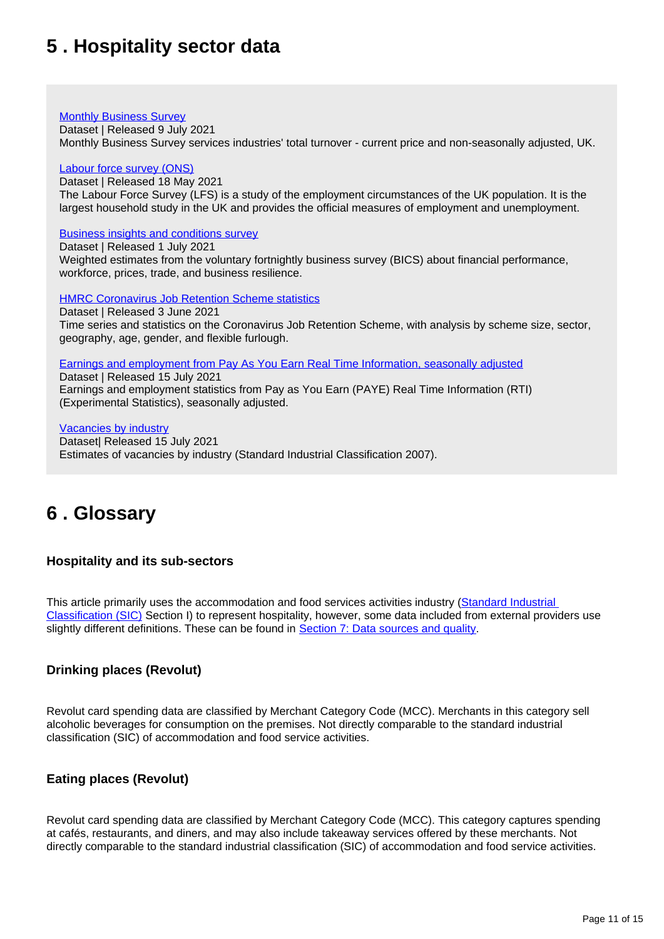## <span id="page-10-0"></span>**5 . Hospitality sector data**

#### **[Monthly Business Survey](https://www.ons.gov.uk/economy/economicoutputandproductivity/output/datasets/monthlybusinesssurveymbsturnoverofservicesindustries)**

Dataset | Released 9 July 2021

Monthly Business Survey services industries' total turnover - current price and non-seasonally adjusted, UK.

#### [Labour force survey \(ONS\)](https://www.ons.gov.uk/employmentandlabourmarket/peopleinwork/employmentandemployeetypes/datasets/employmentbyindustryemp13)

Dataset | Released 18 May 2021 The Labour Force Survey (LFS) is a study of the employment circumstances of the UK population. It is the largest household study in the UK and provides the official measures of employment and unemployment.

#### [Business insights and conditions survey](https://www.ons.gov.uk/economy/economicoutputandproductivity/output/datasets/businessinsightsandimpactontheukeconomy)

Dataset | Released 1 July 2021 Weighted estimates from the voluntary fortnightly business survey (BICS) about financial performance, workforce, prices, trade, and business resilience.

**[HMRC Coronavirus Job Retention Scheme statistics](https://www.gov.uk/government/statistics/coronavirus-job-retention-scheme-statistics-3-june-2021)** 

Dataset | Released 3 June 2021 Time series and statistics on the Coronavirus Job Retention Scheme, with analysis by scheme size, sector, geography, age, gender, and flexible furlough.

[Earnings and employment from Pay As You Earn Real Time Information, seasonally adjusted](https://www.ons.gov.uk/employmentandlabourmarket/peopleinwork/earningsandworkinghours/datasets/realtimeinformationstatisticsreferencetableseasonallyadjusted)

Dataset | Released 15 July 2021 Earnings and employment statistics from Pay as You Earn (PAYE) Real Time Information (RTI) (Experimental Statistics), seasonally adjusted.

[Vacancies by industry](https://www.ons.gov.uk/employmentandlabourmarket/peoplenotinwork/unemployment/datasets/vacanciesbyindustryvacs02) Dataset| Released 15 July 2021 Estimates of vacancies by industry (Standard Industrial Classification 2007).

## <span id="page-10-1"></span>**6 . Glossary**

## **Hospitality and its sub-sectors**

This article primarily uses the accommodation and food services activities industry ([Standard Industrial](https://www.ons.gov.uk/methodology/classificationsandstandards/ukstandardindustrialclassificationofeconomicactivities/uksic2007)  [Classification \(SIC\)](https://www.ons.gov.uk/methodology/classificationsandstandards/ukstandardindustrialclassificationofeconomicactivities/uksic2007) Section I) to represent hospitality, however, some data included from external providers use slightly different definitions. These can be found in [Section 7: Data sources and quality.](https://publishing.ons.gov.uk/businessindustryandtrade/business/activitysizeandlocation/articles/coronavirusanditsimpactonukhospitality/january2020tojune2021#data-sources-and-quality)

## **Drinking places (Revolut)**

Revolut card spending data are classified by Merchant Category Code (MCC). Merchants in this category sell alcoholic beverages for consumption on the premises. Not directly comparable to the standard industrial classification (SIC) of accommodation and food service activities.

## **Eating places (Revolut)**

Revolut card spending data are classified by Merchant Category Code (MCC). This category captures spending at cafés, restaurants, and diners, and may also include takeaway services offered by these merchants. Not directly comparable to the standard industrial classification (SIC) of accommodation and food service activities.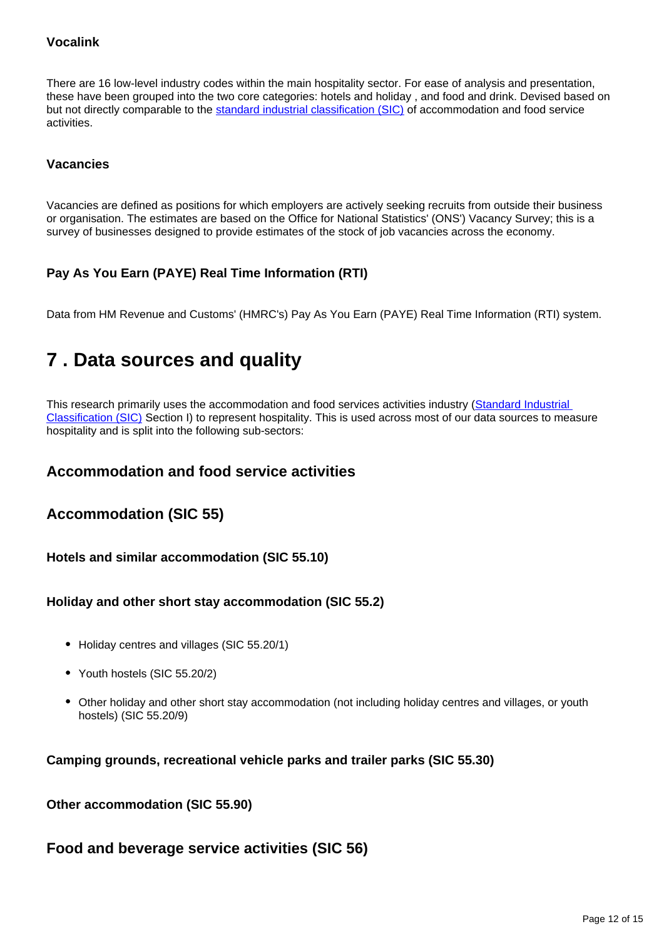## **Vocalink**

There are 16 low-level industry codes within the main hospitality sector. For ease of analysis and presentation, these have been grouped into the two core categories: hotels and holiday , and food and drink. Devised based on but not directly comparable to the [standard industrial classification \(SIC\)](https://www.ons.gov.uk/methodology/classificationsandstandards/ukstandardindustrialclassificationofeconomicactivities/uksic2007) of accommodation and food service activities.

## **Vacancies**

Vacancies are defined as positions for which employers are actively seeking recruits from outside their business or organisation. The estimates are based on the Office for National Statistics' (ONS') Vacancy Survey; this is a survey of businesses designed to provide estimates of the stock of job vacancies across the economy.

## **Pay As You Earn (PAYE) Real Time Information (RTI)**

Data from HM Revenue and Customs' (HMRC's) Pay As You Earn (PAYE) Real Time Information (RTI) system.

## <span id="page-11-0"></span>**7 . Data sources and quality**

This research primarily uses the accommodation and food services activities industry (Standard Industrial [Classification \(SIC\)](https://www.ons.gov.uk/methodology/classificationsandstandards/ukstandardindustrialclassificationofeconomicactivities/uksic2007) Section I) to represent hospitality. This is used across most of our data sources to measure hospitality and is split into the following sub-sectors:

## **Accommodation and food service activities**

## **Accommodation (SIC 55)**

**Hotels and similar accommodation (SIC 55.10)**

## **Holiday and other short stay accommodation (SIC 55.2)**

- Holiday centres and villages (SIC 55.20/1)
- Youth hostels (SIC 55.20/2)
- Other holiday and other short stay accommodation (not including holiday centres and villages, or youth hostels) (SIC 55.20/9)

**Camping grounds, recreational vehicle parks and trailer parks (SIC 55.30)**

**Other accommodation (SIC 55.90)**

## **Food and beverage service activities (SIC 56)**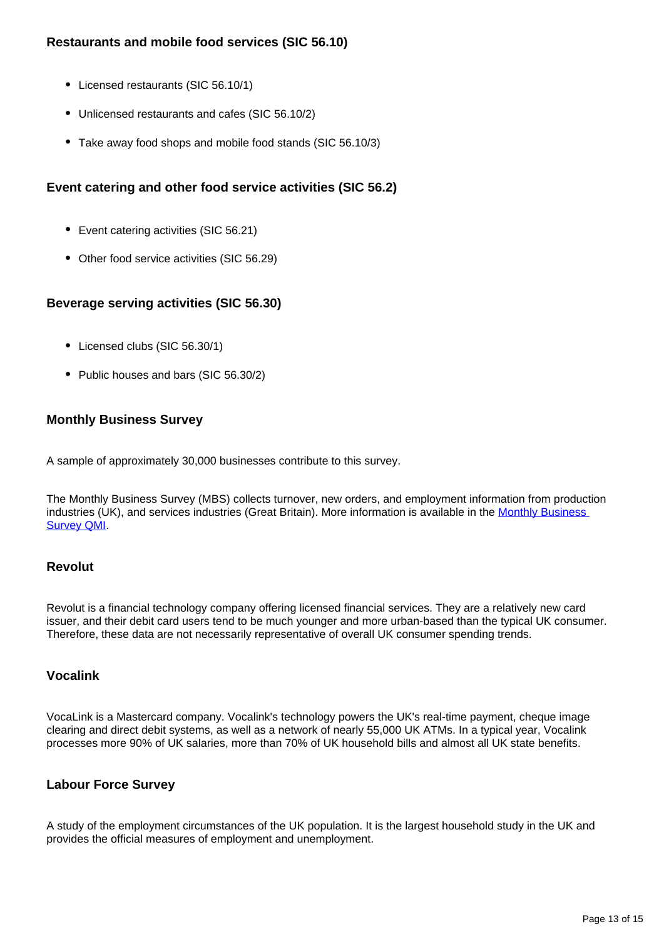## **Restaurants and mobile food services (SIC 56.10)**

- Licensed restaurants (SIC 56.10/1)
- Unlicensed restaurants and cafes (SIC 56.10/2)
- Take away food shops and mobile food stands (SIC 56.10/3)

## **Event catering and other food service activities (SIC 56.2)**

- Event catering activities (SIC 56.21)
- Other food service activities (SIC 56.29)

## **Beverage serving activities (SIC 56.30)**

- Licensed clubs (SIC 56.30/1)
- Public houses and bars (SIC 56.30/2)

## **Monthly Business Survey**

A sample of approximately 30,000 businesses contribute to this survey.

The Monthly Business Survey (MBS) collects turnover, new orders, and employment information from production industries (UK), and services industries (Great Britain). More information is available in the Monthly Business [Survey QMI](https://www.ons.gov.uk/businessindustryandtrade/business/businessservices/methodologies/monthlybusinesssurveyqmi).

## **Revolut**

Revolut is a financial technology company offering licensed financial services. They are a relatively new card issuer, and their debit card users tend to be much younger and more urban-based than the typical UK consumer. Therefore, these data are not necessarily representative of overall UK consumer spending trends.

## **Vocalink**

VocaLink is a Mastercard company. Vocalink's technology powers the UK's real-time payment, cheque image clearing and direct debit systems, as well as a network of nearly 55,000 UK ATMs. In a typical year, Vocalink processes more 90% of UK salaries, more than 70% of UK household bills and almost all UK state benefits.

## **Labour Force Survey**

A study of the employment circumstances of the UK population. It is the largest household study in the UK and provides the official measures of employment and unemployment.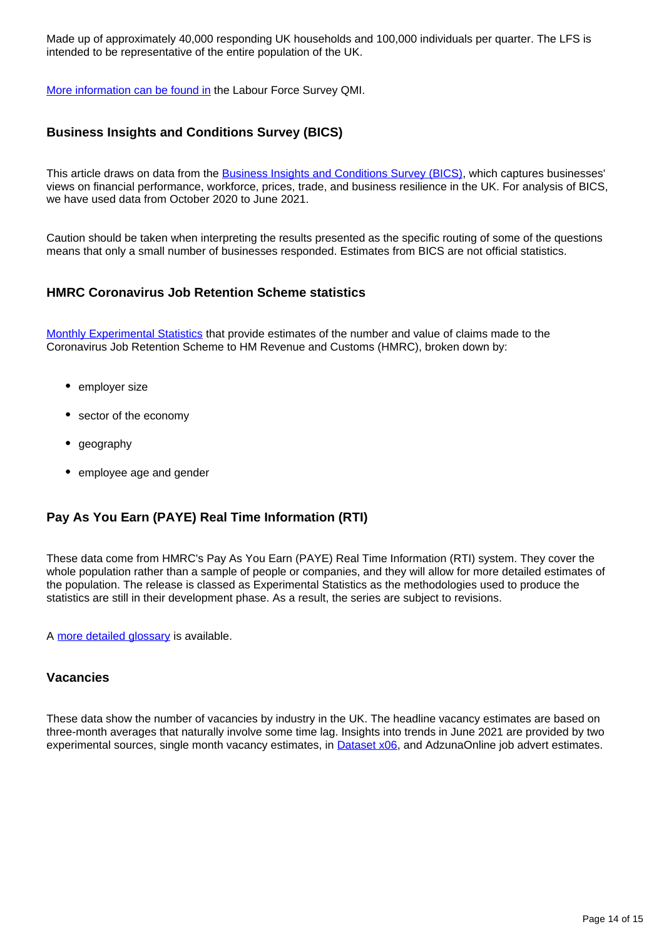Made up of approximately 40,000 responding UK households and 100,000 individuals per quarter. The LFS is intended to be representative of the entire population of the UK.

[More information can be found in](https://www.ons.gov.uk/employmentandlabourmarket/peopleinwork/employmentandemployeetypes/methodologies/labourforcesurveylfsqmi) the Labour Force Survey QMI.

## **Business Insights and Conditions Survey (BICS)**

This article draws on data from the **Business Insights and Conditions Survey (BICS)**, which captures businesses' views on financial performance, workforce, prices, trade, and business resilience in the UK. For analysis of BICS, we have used data from October 2020 to June 2021.

Caution should be taken when interpreting the results presented as the specific routing of some of the questions means that only a small number of businesses responded. Estimates from BICS are not official statistics.

## **HMRC Coronavirus Job Retention Scheme statistics**

[Monthly Experimental Statistics](https://www.gov.uk/government/collections/hmrc-coronavirus-covid-19-statistics#coronavirus-job-retention-scheme) that provide estimates of the number and value of claims made to the Coronavirus Job Retention Scheme to HM Revenue and Customs (HMRC), broken down by:

- employer size
- sector of the economy
- geography
- employee age and gender

## **Pay As You Earn (PAYE) Real Time Information (RTI)**

These data come from HMRC's Pay As You Earn (PAYE) Real Time Information (RTI) system. They cover the whole population rather than a sample of people or companies, and they will allow for more detailed estimates of the population. The release is classed as Experimental Statistics as the methodologies used to produce the statistics are still in their development phase. As a result, the series are subject to revisions.

A [more detailed glossary](https://www.ons.gov.uk/employmentandlabourmarket/peopleinwork/employmentandemployeetypes/methodologies/aguidetolabourmarketstatistics#glossary) is available.

#### **Vacancies**

These data show the number of vacancies by industry in the UK. The headline vacancy estimates are based on three-month averages that naturally involve some time lag. Insights into trends in June 2021 are provided by two experimental sources, single month vacancy estimates, in [Dataset x06](https://www.ons.gov.uk/employmentandlabourmarket/peoplenotinwork/unemployment/datasets/x06singlemonthvacanciesestimatesnotdesignatedasnationalstatistics), and AdzunaOnline job advert estimates.